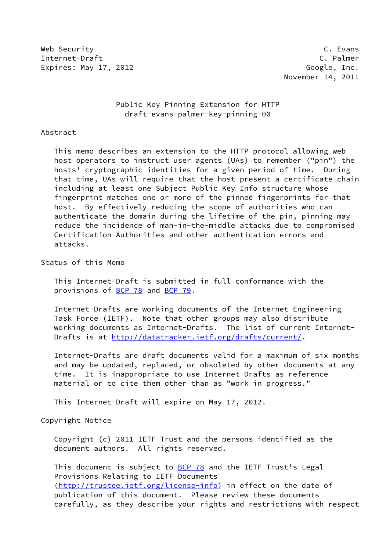Web Security C. Evans Internet-Draft Communication of the C. Palmer Expires: May 17, 2012 **Google**, Inc.

# Public Key Pinning Extension for HTTP draft-evans-palmer-key-pinning-00

Abstract

 This memo describes an extension to the HTTP protocol allowing web host operators to instruct user agents (UAs) to remember ("pin") the hosts' cryptographic identities for a given period of time. During that time, UAs will require that the host present a certificate chain including at least one Subject Public Key Info structure whose fingerprint matches one or more of the pinned fingerprints for that host. By effectively reducing the scope of authorities who can authenticate the domain during the lifetime of the pin, pinning may reduce the incidence of man-in-the-middle attacks due to compromised Certification Authorities and other authentication errors and attacks.

Status of this Memo

 This Internet-Draft is submitted in full conformance with the provisions of [BCP 78](https://datatracker.ietf.org/doc/pdf/bcp78) and [BCP 79](https://datatracker.ietf.org/doc/pdf/bcp79).

 Internet-Drafts are working documents of the Internet Engineering Task Force (IETF). Note that other groups may also distribute working documents as Internet-Drafts. The list of current Internet- Drafts is at<http://datatracker.ietf.org/drafts/current/>.

 Internet-Drafts are draft documents valid for a maximum of six months and may be updated, replaced, or obsoleted by other documents at any time. It is inappropriate to use Internet-Drafts as reference material or to cite them other than as "work in progress."

This Internet-Draft will expire on May 17, 2012.

Copyright Notice

 Copyright (c) 2011 IETF Trust and the persons identified as the document authors. All rights reserved.

This document is subject to **[BCP 78](https://datatracker.ietf.org/doc/pdf/bcp78)** and the IETF Trust's Legal Provisions Relating to IETF Documents [\(http://trustee.ietf.org/license-info](http://trustee.ietf.org/license-info)) in effect on the date of publication of this document. Please review these documents carefully, as they describe your rights and restrictions with respect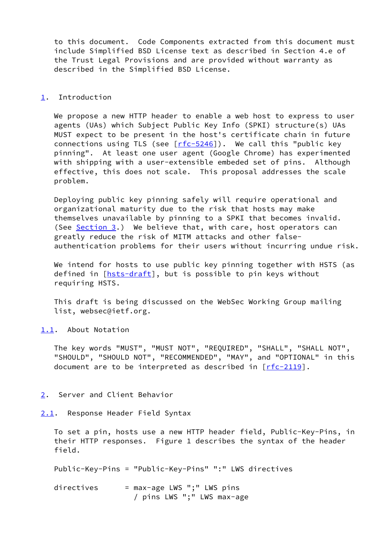to this document. Code Components extracted from this document must include Simplified BSD License text as described in Section 4.e of the Trust Legal Provisions and are provided without warranty as described in the Simplified BSD License.

### <span id="page-1-0"></span>[1](#page-1-0). Introduction

 We propose a new HTTP header to enable a web host to express to user agents (UAs) which Subject Public Key Info (SPKI) structure(s) UAs MUST expect to be present in the host's certificate chain in future connections using TLS (see  $[rfc-5246]$  $[rfc-5246]$ ). We call this "public key pinning". At least one user agent (Google Chrome) has experimented with shipping with a user-extensible embeded set of pins. Although effective, this does not scale. This proposal addresses the scale problem.

 Deploying public key pinning safely will require operational and organizational maturity due to the risk that hosts may make themselves unavailable by pinning to a SPKI that becomes invalid. (See [Section 3](#page-4-0).) We believe that, with care, host operators can greatly reduce the risk of MITM attacks and other false authentication problems for their users without incurring undue risk.

 We intend for hosts to use public key pinning together with HSTS (as defined in [[hsts-draft\]](#page-6-0), but is possible to pin keys without requiring HSTS.

 This draft is being discussed on the WebSec Working Group mailing list, websec@ietf.org.

<span id="page-1-1"></span>[1.1](#page-1-1). About Notation

 The key words "MUST", "MUST NOT", "REQUIRED", "SHALL", "SHALL NOT", "SHOULD", "SHOULD NOT", "RECOMMENDED", "MAY", and "OPTIONAL" in this document are to be interpreted as described in  $[rfc-2119]$  $[rfc-2119]$ .

# <span id="page-1-2"></span>[2](#page-1-2). Server and Client Behavior

<span id="page-1-3"></span>[2.1](#page-1-3). Response Header Field Syntax

 To set a pin, hosts use a new HTTP header field, Public-Key-Pins, in their HTTP responses. Figure 1 describes the syntax of the header field.

Public-Key-Pins = "Public-Key-Pins" ":" LWS directives

directives  $=$  max-age LWS ";" LWS pins / pins LWS ";" LWS max-age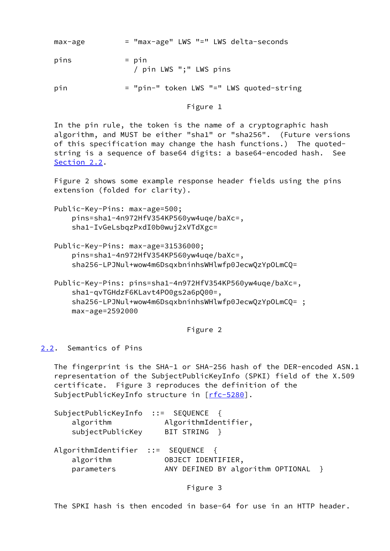| max-age | = "max-age" LWS "=" LWS delta-seconds |
|---------|---------------------------------------|
|---------|---------------------------------------|

 $pins$  =  $pin$ / pin LWS ";" LWS pins

pin = "pin-" token LWS "=" LWS quoted-string

# Figure 1

 In the pin rule, the token is the name of a cryptographic hash algorithm, and MUST be either "sha1" or "sha256". (Future versions of this specification may change the hash functions.) The quoted string is a sequence of base64 digits: a base64-encoded hash. See [Section 2.2](#page-2-0).

 Figure 2 shows some example response header fields using the pins extension (folded for clarity).

- Public-Key-Pins: max-age=500; pins=sha1-4n972HfV354KP560yw4uqe/baXc=, sha1-IvGeLsbqzPxdI0b0wuj2xVTdXgc=
- Public-Key-Pins: max-age=31536000; pins=sha1-4n972HfV354KP560yw4uqe/baXc=, sha256-LPJNul+wow4m6DsqxbninhsWHlwfp0JecwQzYpOLmCQ=
- Public-Key-Pins: pins=sha1-4n972HfV354KP560yw4uqe/baXc=, sha1-qvTGHdzF6KLavt4PO0gs2a6pQ00=, sha256-LPJNul+wow4m6DsqxbninhsWHlwfp0JecwQzYpOLmCQ= ; max-age=2592000

Figure 2

<span id="page-2-0"></span>[2.2](#page-2-0). Semantics of Pins

 The fingerprint is the SHA-1 or SHA-256 hash of the DER-encoded ASN.1 representation of the SubjectPublicKeyInfo (SPKI) field of the X.509 certificate. Figure 3 reproduces the definition of the SubjectPublicKeyInfo structure in [[rfc-5280\]](https://datatracker.ietf.org/doc/pdf/rfc5280).

| SubjectPublicKeyInfo ::= SEQUENCE {<br>algorithm<br>subjectPublicKey | AlgorithmIdentifier,<br>BIT STRING }                      |  |
|----------------------------------------------------------------------|-----------------------------------------------------------|--|
| AlgorithmIdentifier ::= SEQUENCE {<br>algorithm<br>parameters        | OBJECT IDENTIFIER,<br>ANY DEFINED BY algorithm OPTIONAL } |  |

Figure 3

The SPKI hash is then encoded in base-64 for use in an HTTP header.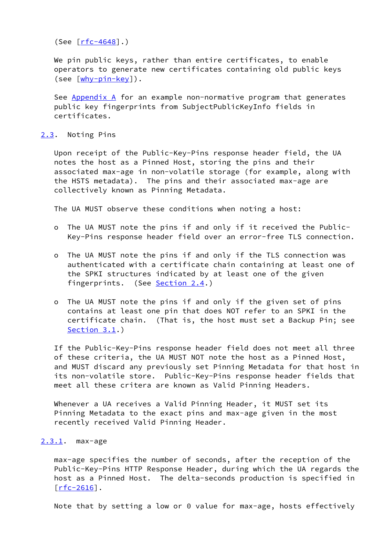(See [\[rfc-4648](https://datatracker.ietf.org/doc/pdf/rfc4648)].)

 We pin public keys, rather than entire certificates, to enable operators to generate new certificates containing old public keys (see  $[\frac{why-pin-key}{$ ).

See [Appendix A](#page-7-0) for an example non-normative program that generates public key fingerprints from SubjectPublicKeyInfo fields in certificates.

#### <span id="page-3-0"></span>[2.3](#page-3-0). Noting Pins

 Upon receipt of the Public-Key-Pins response header field, the UA notes the host as a Pinned Host, storing the pins and their associated max-age in non-volatile storage (for example, along with the HSTS metadata). The pins and their associated max-age are collectively known as Pinning Metadata.

The UA MUST observe these conditions when noting a host:

- o The UA MUST note the pins if and only if it received the Public- Key-Pins response header field over an error-free TLS connection.
- o The UA MUST note the pins if and only if the TLS connection was authenticated with a certificate chain containing at least one of the SPKI structures indicated by at least one of the given fingerprints. (See [Section 2.4](#page-4-1).)
- o The UA MUST note the pins if and only if the given set of pins contains at least one pin that does NOT refer to an SPKI in the certificate chain. (That is, the host must set a Backup Pin; see [Section 3.1](#page-5-0).)

 If the Public-Key-Pins response header field does not meet all three of these criteria, the UA MUST NOT note the host as a Pinned Host, and MUST discard any previously set Pinning Metadata for that host in its non-volatile store. Public-Key-Pins response header fields that meet all these critera are known as Valid Pinning Headers.

 Whenever a UA receives a Valid Pinning Header, it MUST set its Pinning Metadata to the exact pins and max-age given in the most recently received Valid Pinning Header.

# <span id="page-3-1"></span>[2.3.1](#page-3-1). max-age

 max-age specifies the number of seconds, after the reception of the Public-Key-Pins HTTP Response Header, during which the UA regards the host as a Pinned Host. The delta-seconds production is specified in  $\lceil$ rfc-2616].

Note that by setting a low or 0 value for max-age, hosts effectively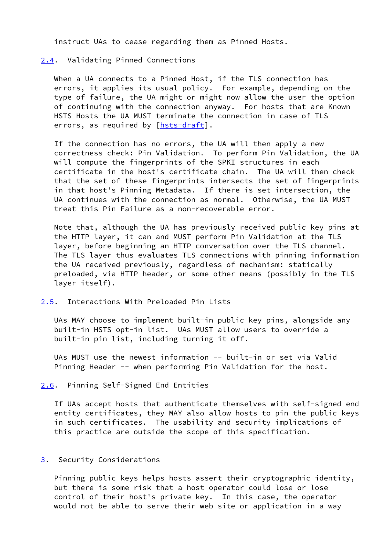instruct UAs to cease regarding them as Pinned Hosts.

### <span id="page-4-1"></span>[2.4](#page-4-1). Validating Pinned Connections

When a UA connects to a Pinned Host, if the TLS connection has errors, it applies its usual policy. For example, depending on the type of failure, the UA might or might now allow the user the option of continuing with the connection anyway. For hosts that are Known HSTS Hosts the UA MUST terminate the connection in case of TLS errors, as required by [\[hsts-draft](#page-6-0)].

 If the connection has no errors, the UA will then apply a new correctness check: Pin Validation. To perform Pin Validation, the UA will compute the fingerprints of the SPKI structures in each certificate in the host's certificate chain. The UA will then check that the set of these fingerprints intersects the set of fingerprints in that host's Pinning Metadata. If there is set intersection, the UA continues with the connection as normal. Otherwise, the UA MUST treat this Pin Failure as a non-recoverable error.

 Note that, although the UA has previously received public key pins at the HTTP layer, it can and MUST perform Pin Validation at the TLS layer, before beginning an HTTP conversation over the TLS channel. The TLS layer thus evaluates TLS connections with pinning information the UA received previously, regardless of mechanism: statically preloaded, via HTTP header, or some other means (possibly in the TLS layer itself).

# <span id="page-4-2"></span>[2.5](#page-4-2). Interactions With Preloaded Pin Lists

 UAs MAY choose to implement built-in public key pins, alongside any built-in HSTS opt-in list. UAs MUST allow users to override a built-in pin list, including turning it off.

 UAs MUST use the newest information -- built-in or set via Valid Pinning Header -- when performing Pin Validation for the host.

#### <span id="page-4-3"></span>[2.6](#page-4-3). Pinning Self-Signed End Entities

 If UAs accept hosts that authenticate themselves with self-signed end entity certificates, they MAY also allow hosts to pin the public keys in such certificates. The usability and security implications of this practice are outside the scope of this specification.

# <span id="page-4-0"></span>[3](#page-4-0). Security Considerations

 Pinning public keys helps hosts assert their cryptographic identity, but there is some risk that a host operator could lose or lose control of their host's private key. In this case, the operator would not be able to serve their web site or application in a way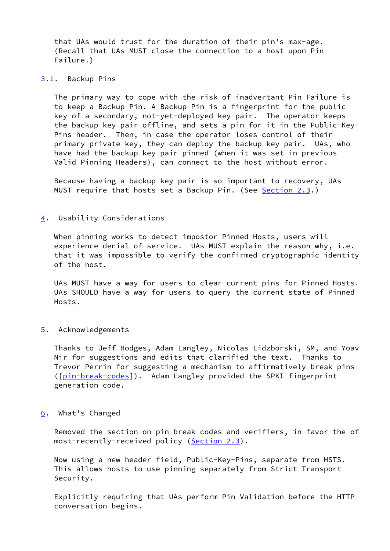that UAs would trust for the duration of their pin's max-age. (Recall that UAs MUST close the connection to a host upon Pin Failure.)

#### <span id="page-5-0"></span>[3.1](#page-5-0). Backup Pins

 The primary way to cope with the risk of inadvertant Pin Failure is to keep a Backup Pin. A Backup Pin is a fingerprint for the public key of a secondary, not-yet-deployed key pair. The operator keeps the backup key pair offline, and sets a pin for it in the Public-Key- Pins header. Then, in case the operator loses control of their primary private key, they can deploy the backup key pair. UAs, who have had the backup key pair pinned (when it was set in previous Valid Pinning Headers), can connect to the host without error.

 Because having a backup key pair is so important to recovery, UAs MUST require that hosts set a Backup Pin. (See [Section 2.3](#page-3-0).)

#### <span id="page-5-1"></span>[4](#page-5-1). Usability Considerations

 When pinning works to detect impostor Pinned Hosts, users will experience denial of service. UAs MUST explain the reason why, i.e. that it was impossible to verify the confirmed cryptographic identity of the host.

 UAs MUST have a way for users to clear current pins for Pinned Hosts. UAs SHOULD have a way for users to query the current state of Pinned Hosts.

# <span id="page-5-2"></span>[5](#page-5-2). Acknowledgements

 Thanks to Jeff Hodges, Adam Langley, Nicolas Lidzborski, SM, and Yoav Nir for suggestions and edits that clarified the text. Thanks to Trevor Perrin for suggesting a mechanism to affirmatively break pins ([\[pin-break-codes](#page-6-2)]). Adam Langley provided the SPKI fingerprint generation code.

#### <span id="page-5-3"></span>[6](#page-5-3). What's Changed

 Removed the section on pin break codes and verifiers, in favor the of most-recently-received policy ([Section 2.3](#page-3-0)).

 Now using a new header field, Public-Key-Pins, separate from HSTS. This allows hosts to use pinning separately from Strict Transport Security.

 Explicitly requiring that UAs perform Pin Validation before the HTTP conversation begins.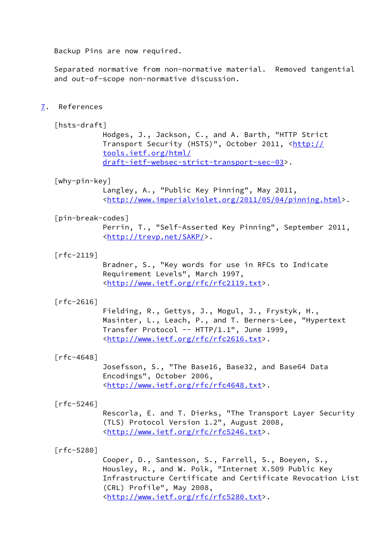Backup Pins are now required.

 Separated normative from non-normative material. Removed tangential and out-of-scope non-normative discussion.

<span id="page-6-3"></span>[7](#page-6-3). References

# <span id="page-6-0"></span>[hsts-draft]

 Hodges, J., Jackson, C., and A. Barth, "HTTP Strict Transport Security (HSTS)", October 2011, [<http://](http://tools.ietf.org/html/draft-ietf-websec-strict-transport-sec-03) [tools.ietf.org/html/](http://tools.ietf.org/html/draft-ietf-websec-strict-transport-sec-03) [draft-ietf-websec-strict-transport-sec-03>](http://tools.ietf.org/html/draft-ietf-websec-strict-transport-sec-03).

#### <span id="page-6-1"></span>[why-pin-key]

 Langley, A., "Public Key Pinning", May 2011, <[http://www.imperialviolet.org/2011/05/04/pinning.html>](http://www.imperialviolet.org/2011/05/04/pinning.html).

#### <span id="page-6-2"></span>[pin-break-codes]

 Perrin, T., "Self-Asserted Key Pinning", September 2011, <<http://trevp.net/SAKP/>>.

#### [rfc-2119]

 Bradner, S., "Key words for use in RFCs to Indicate Requirement Levels", March 1997, <[http://www.ietf.org/rfc/rfc2119.txt>](http://www.ietf.org/rfc/rfc2119.txt).

# [rfc-2616]

 Fielding, R., Gettys, J., Mogul, J., Frystyk, H., Masinter, L., Leach, P., and T. Berners-Lee, "Hypertext Transfer Protocol -- HTTP/1.1", June 1999, <[http://www.ietf.org/rfc/rfc2616.txt>](http://www.ietf.org/rfc/rfc2616.txt).

#### [rfc-4648]

 Josefsson, S., "The Base16, Base32, and Base64 Data Encodings", October 2006, <[http://www.ietf.org/rfc/rfc4648.txt>](http://www.ietf.org/rfc/rfc4648.txt).

#### $\lceil$ rfc-5246]

 Rescorla, E. and T. Dierks, "The Transport Layer Security (TLS) Protocol Version 1.2", August 2008, <[http://www.ietf.org/rfc/rfc5246.txt>](http://www.ietf.org/rfc/rfc5246.txt).

# [rfc-5280]

 Cooper, D., Santesson, S., Farrell, S., Boeyen, S., Housley, R., and W. Polk, "Internet X.509 Public Key Infrastructure Certificate and Certificate Revocation List (CRL) Profile", May 2008, <[http://www.ietf.org/rfc/rfc5280.txt>](http://www.ietf.org/rfc/rfc5280.txt).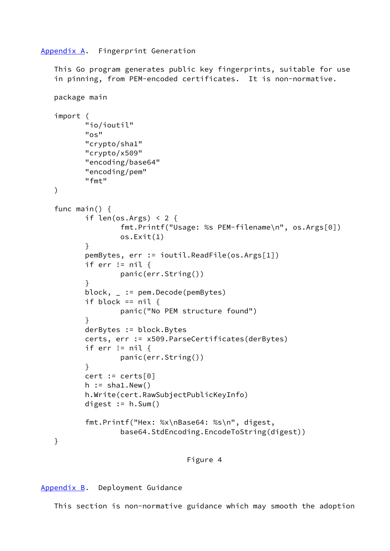# <span id="page-7-0"></span>[Appendix A.](#page-7-0) Fingerprint Generation

 This Go program generates public key fingerprints, suitable for use in pinning, from PEM-encoded certificates. It is non-normative.

```
 package main
  import (
          "io/ioutil"
          "os"
          "crypto/sha1"
          "crypto/x509"
          "encoding/base64"
          "encoding/pem"
          "fmt"
  )
 func main() {
         if len(os.Args) \leq 2 {
                  fmt.Printf("Usage: %s PEM-filename\n", os.Args[0])
                  os.Exit(1)
}
          pemBytes, err := ioutil.ReadFile(os.Args[1])
         if err != nil {
                  panic(err.String())
          }
          block, _ := pem.Decode(pemBytes)
         if block == nil {
                  panic("No PEM structure found")
}
          derBytes := block.Bytes
          certs, err := x509.ParseCertificates(derBytes)
         if err != nil {
                  panic(err.String())
}
         cert := certs[0]h := shal. New()
          h.Write(cert.RawSubjectPublicKeyInfo)
          digest := h.Sum()
          fmt.Printf("Hex: %x\nBase64: %s\n", digest,
                  base64.StdEncoding.EncodeToString(digest))
  }
```
Figure 4

<span id="page-7-1"></span>[Appendix B.](#page-7-1) Deployment Guidance

This section is non-normative guidance which may smooth the adoption